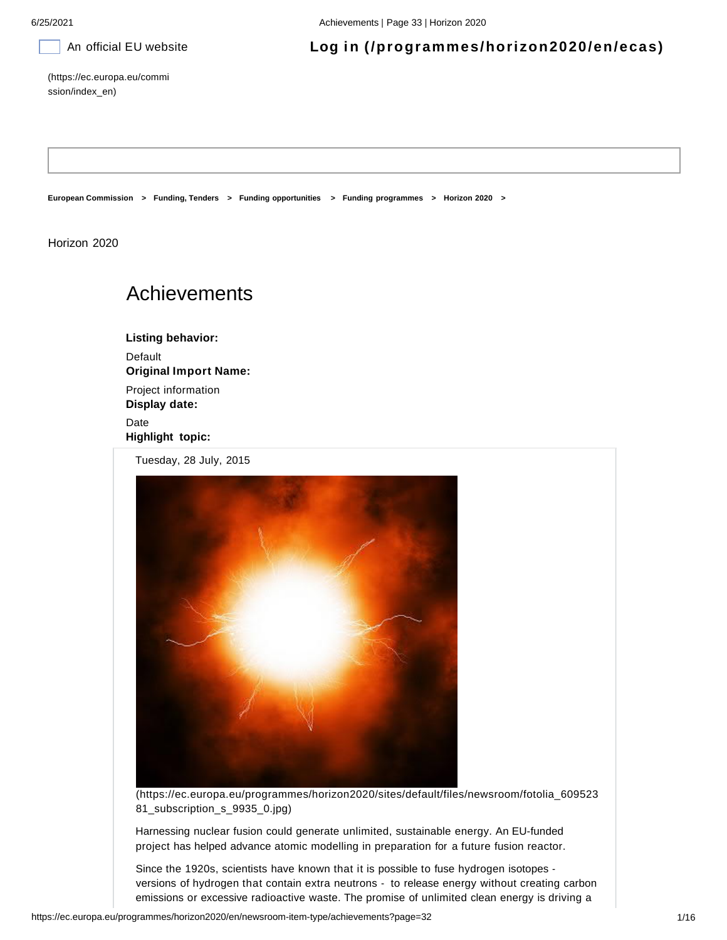# An official EU website **Log in (/programmes/horizon2020/en/ecas)**

(https://ec.europa.eu/commi ssion/index\_en)

**European Commission > Funding, Tenders > Funding opportunities > Funding programmes > Horizon 2020 >**

Horizon 2020

# Achievements

**Listing behavior: Default Original Import Name:** Project information **Display date:**

Date **Highlight topic:**

Tuesday, 28 July, 2015



(https://ec.europa.eu/programmes/horizon2020/sites/default/files/newsroom/fotolia\_609523 81\_subscription\_s\_9935\_0.jpg)

Harnessing nuclear fusion could generate unlimited, sustainable energy. An EU-funded project has helped advance atomic modelling in preparation for a future fusion reactor.

Since the 1920s, scientists have known that it is possible to fuse hydrogen isotopes versions of hydrogen that contain extra neutrons - to release energy without creating carbon emissions or excessive radioactive waste. The promise of unlimited clean energy is driving a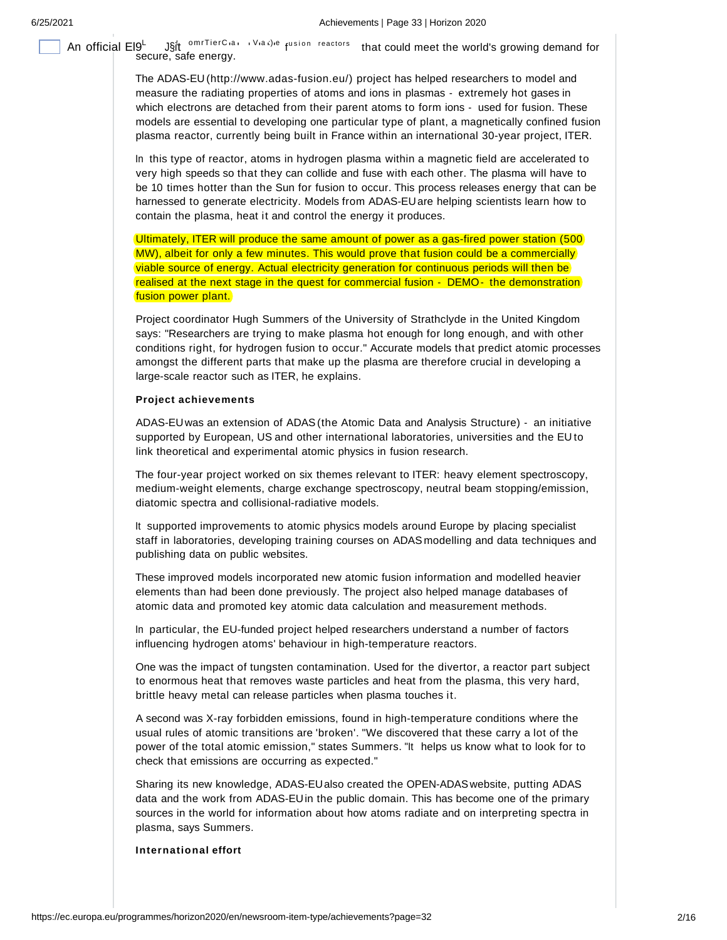An official El9<sup>L</sup> J§it <sup>omrTierC</sup>'a' '<sup>Via t)le</sup> f<sup>usion</sup> reactors that could meet the world's growing demand for<br>Secure, safe energy.

The ADAS-EU (http://www.adas-fusion.eu/) project has helped researchers to model and measure the radiating properties of atoms and ions in plasmas - extremely hot gases in which electrons are detached from their parent atoms to form ions - used for fusion. These models are essential to developing one particular type of plant, a magnetically confined fusion plasma reactor, currently being built in France within an international 30-year project, ITER.

In this type of reactor, atoms in hydrogen plasma within a magnetic field are accelerated to very high speeds so that they can collide and fuse with each other. The plasma will have to be 10 times hotter than the Sun for fusion to occur. This process releases energy that can be harnessed to generate electricity. Models from ADAS-EUare helping scientists learn how to contain the plasma, heat it and control the energy it produces.

Ultimately, ITER will produce the same amount of power as a gas-fired power station (500 MW), albeit for only a few minutes. This would prove that fusion could be a commercially viable source of energy. Actual electricity generation for continuous periods will then be realised at the next stage in the quest for commercial fusion - DEMO- the demonstration fusion power plant.

Project coordinator Hugh Summers of the University of Strathclyde in the United Kingdom says: "Researchers are trying to make plasma hot enough for long enough, and with other conditions right, for hydrogen fusion to occur." Accurate models that predict atomic processes amongst the different parts that make up the plasma are therefore crucial in developing a large-scale reactor such as ITER, he explains.

### **Project achievements**

ADAS-EUwas an extension of ADAS(the Atomic Data and Analysis Structure) - an initiative supported by European, US and other international laboratories, universities and the EU to link theoretical and experimental atomic physics in fusion research.

The four-year project worked on six themes relevant to ITER: heavy element spectroscopy, medium-weight elements, charge exchange spectroscopy, neutral beam stopping/emission, diatomic spectra and collisional-radiative models.

It supported improvements to atomic physics models around Europe by placing specialist staff in laboratories, developing training courses on ADAS modelling and data techniques and publishing data on public websites.

These improved models incorporated new atomic fusion information and modelled heavier elements than had been done previously. The project also helped manage databases of atomic data and promoted key atomic data calculation and measurement methods.

In particular, the EU-funded project helped researchers understand a number of factors influencing hydrogen atoms' behaviour in high-temperature reactors.

One was the impact of tungsten contamination. Used for the divertor, a reactor part subject to enormous heat that removes waste particles and heat from the plasma, this very hard, brittle heavy metal can release particles when plasma touches it.

A second was X-ray forbidden emissions, found in high-temperature conditions where the usual rules of atomic transitions are 'broken'. "We discovered that these carry a lot of the power of the total atomic emission," states Summers. "It helps us know what to look for to check that emissions are occurring as expected."

Sharing its new knowledge, ADAS-EUalso created the OPEN-ADASwebsite, putting ADAS data and the work from ADAS-EUin the public domain. This has become one of the primary sources in the world for information about how atoms radiate and on interpreting spectra in plasma, says Summers.

### **International effort**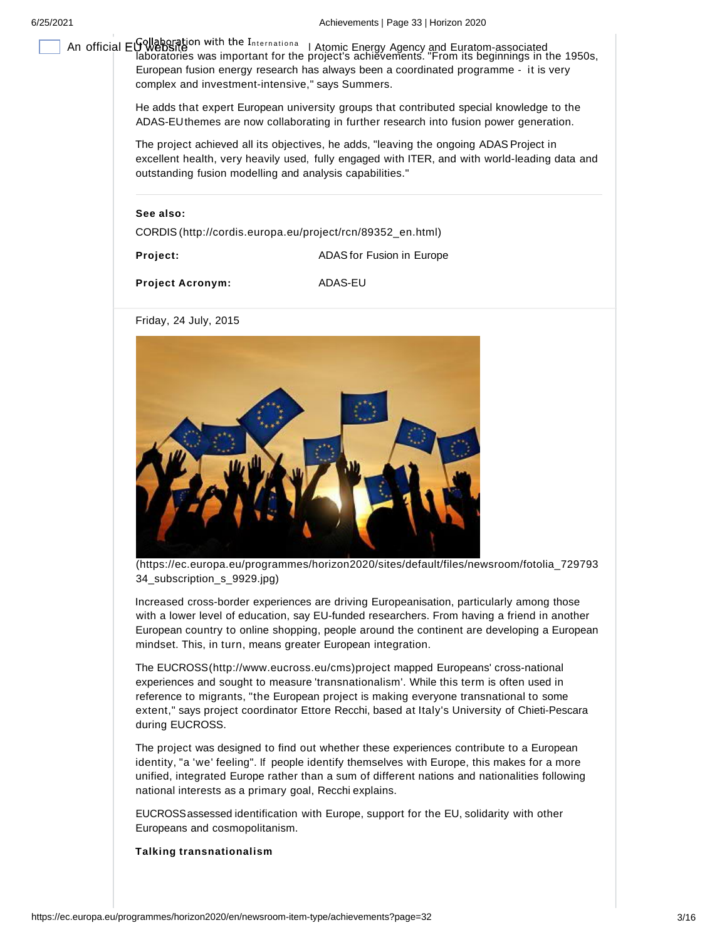An official EU WebSing in With the International Latomic Energy Agency and Euratom-associated<br>| laboratories was important for the project's achievements. "From its beginnings in the 1950s, European fusion energy research has always been a coordinated programme - it is very complex and investment-intensive," says Summers.

> He adds that expert European university groups that contributed special knowledge to the ADAS-EUthemes are now collaborating in further research into fusion power generation.

The project achieved all its objectives, he adds, "leaving the ongoing ADAS Project in excellent health, very heavily used, fully engaged with ITER, and with world-leading data and outstanding fusion modelling and analysis capabilities."

**See also:**

CORDIS (http://cordis.europa.eu/project/rcn/89352\_en.html)

**Project: ADAS** for Fusion in Europe

**Project Acronym:** ADAS-EU

Friday, 24 July, 2015



(https://ec.europa.eu/programmes/horizon2020/sites/default/files/newsroom/fotolia\_729793 34\_subscription\_s\_9929.jpg)

Increased cross-border experiences are driving Europeanisation, particularly among those with a lower level of education, say EU-funded researchers. From having a friend in another European country to online shopping, people around the continent are developing a European mindset. This, in turn, means greater European integration.

The EUCROSS(http://www.eucross.eu/cms)project mapped Europeans' cross-national experiences and sought to measure 'transnationalism'. While this term is often used in reference to migrants, "the European project is making everyone transnational to some extent," says project coordinator Ettore Recchi, based at Italy's University of Chieti-Pescara during EUCROSS.

The project was designed to find out whether these experiences contribute to a European identity, "a 'we' feeling". If people identify themselves with Europe, this makes for a more unified, integrated Europe rather than a sum of different nations and nationalities following national interests as a primary goal, Recchi explains.

EUCROSSassessed identification with Europe, support for the EU, solidarity with other Europeans and cosmopolitanism.

**Talking transnationalism**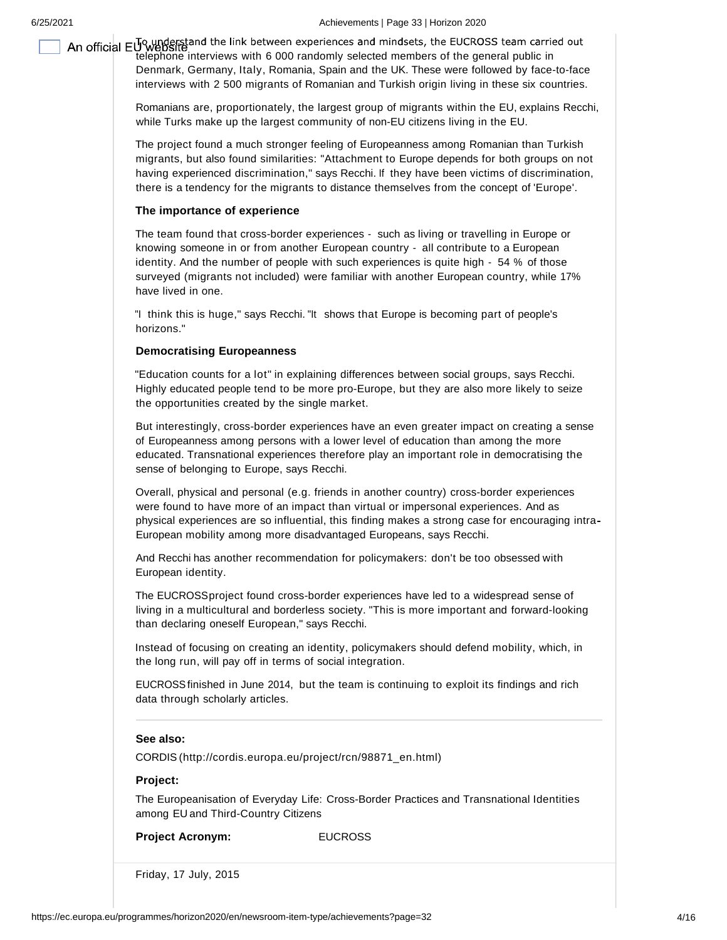6/25/2021 Achievements | Page 33 | Horizon 2020

An official  $E_{\text{u}}^{\text{TQ}}$  understand the link between experiences and mindsets, the EUCROSS team carried out<br>telephone interviews with 6 000 randomly selected members of the general public in Denmark, Germany, Italy, Romania, Spain and the UK. These were followed by face-to-face interviews with 2 500 migrants of Romanian and Turkish origin living in these six countries.

> Romanians are, proportionately, the largest group of migrants within the EU, explains Recchi, while Turks make up the largest community of non-EU citizens living in the EU.

> The project found a much stronger feeling of Europeanness among Romanian than Turkish migrants, but also found similarities: "Attachment to Europe depends for both groups on not having experienced discrimination," says Recchi. If they have been victims of discrimination, there is a tendency for the migrants to distance themselves from the concept of 'Europe'.

# **The importance of experience**

The team found that cross-border experiences - such as living or travelling in Europe or knowing someone in or from another European country - all contribute to a European identity. And the number of people with such experiences is quite high - 54 % of those surveyed (migrants not included) were familiar with another European country, while 17% have lived in one.

"I think this is huge," says Recchi. "It shows that Europe is becoming part of people's horizons."

## **Democratising Europeanness**

"Education counts for a lot" in explaining differences between social groups, says Recchi. Highly educated people tend to be more pro-Europe, but they are also more likely to seize the opportunities created by the single market.

But interestingly, cross-border experiences have an even greater impact on creating a sense of Europeanness among persons with a lower level of education than among the more educated. Transnational experiences therefore play an important role in democratising the sense of belonging to Europe, says Recchi.

Overall, physical and personal (e.g. friends in another country) cross-border experiences were found to have more of an impact than virtual or impersonal experiences. And as physical experiences are so influential, this finding makes a strong case for encouraging intra European mobility among more disadvantaged Europeans, says Recchi.

And Recchi has another recommendation for policymakers: don't be too obsessed with European identity.

The EUCROSSproject found cross-border experiences have led to a widespread sense of living in a multicultural and borderless society. "This is more important and forward-looking than declaring oneself European," says Recchi.

Instead of focusing on creating an identity, policymakers should defend mobility, which, in the long run, will pay off in terms of social integration.

EUCROSSfinished in June 2014, but the team is continuing to exploit its findings and rich data through scholarly articles.

### **See also:**

CORDIS (http://cordis.europa.eu/project/rcn/98871\_en.html)

### **Project:**

The Europeanisation of Everyday Life: Cross-Border Practices and Transnational Identities among EU and Third-Country Citizens

**Project Acronym: EUCROSS** 

Friday, 17 July, 2015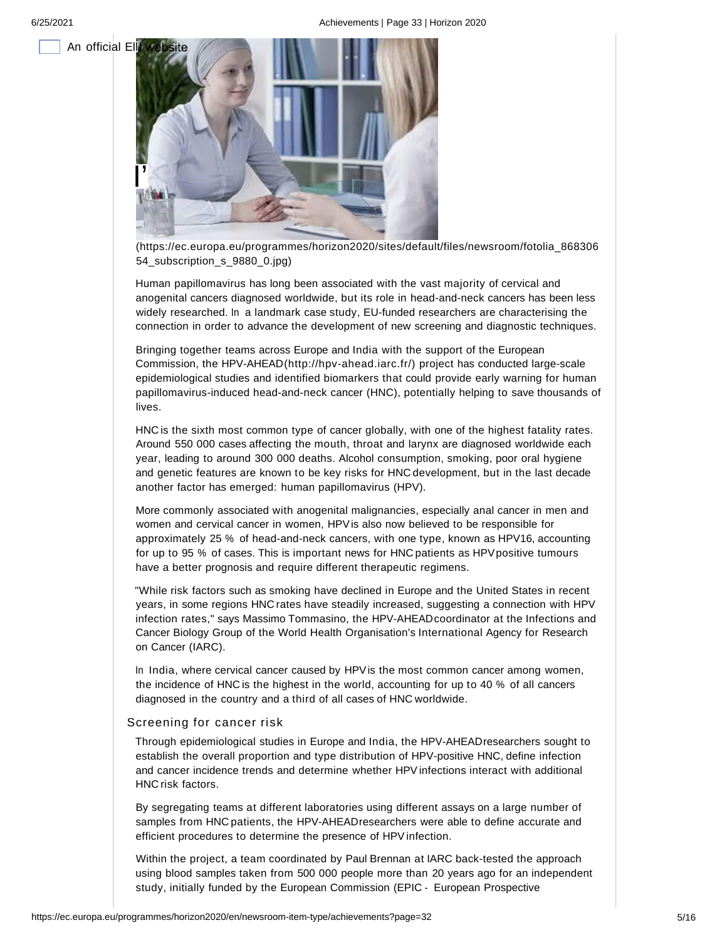

(https://ec.europa.eu/programmes/horizon2020/sites/default/files/newsroom/fotolia\_868306 54\_subscription\_s\_9880\_0.jpg)

Human papillomavirus has long been associated with the vast majority of cervical and anogenital cancers diagnosed worldwide, but its role in head-and-neck cancers has been less widely researched. In a landmark case study, EU-funded researchers are characterising the connection in order to advance the development of new screening and diagnostic techniques.

Bringing together teams across Europe and India with the support of the European Commission, the HPV-AHEAD(http://hpv-ahead.iarc.fr/) project has conducted large-scale epidemiological studies and identified biomarkers that could provide early warning for human papillomavirus-induced head-and-neck cancer (HNC), potentially helping to save thousands of lives.

HNC is the sixth most common type of cancer globally, with one of the highest fatality rates. Around 550 000 cases affecting the mouth, throat and larynx are diagnosed worldwide each year, leading to around 300 000 deaths. Alcohol consumption, smoking, poor oral hygiene and genetic features are known to be key risks for HNC development, but in the last decade another factor has emerged: human papillomavirus (HPV).

More commonly associated with anogenital malignancies, especially anal cancer in men and women and cervical cancer in women, HPVis also now believed to be responsible for approximately 25 % of head-and-neck cancers, with one type, known as HPV16, accounting for up to 95 % of cases. This is important news for HNC patients as HPVpositive tumours have a better prognosis and require different therapeutic regimens.

"While risk factors such as smoking have declined in Europe and the United States in recent years, in some regions HNC rates have steadily increased, suggesting a connection with HPV infection rates," says Massimo Tommasino, the HPV-AHEAD coordinator at the Infections and Cancer Biology Group of the World Health Organisation's International Agency for Research on Cancer (IARC).

In India, where cervical cancer caused by HPVis the most common cancer among women, the incidence of HNC is the highest in the world, accounting for up to 40 % of all cancers diagnosed in the country and a third of all cases of HNC worldwide.

### Screening for cancer risk

Through epidemiological studies in Europe and India, the HPV-AHEADresearchers sought to establish the overall proportion and type distribution of HPV-positive HNC, define infection and cancer incidence trends and determine whether HPVinfections interact with additional HNC risk factors.

By segregating teams at different laboratories using different assays on a large number of samples from HNC patients, the HPV-AHEADresearchers were able to define accurate and efficient procedures to determine the presence of HPV infection.

Within the project, a team coordinated by Paul Brennan at IARC back-tested the approach using blood samples taken from 500 000 people more than 20 years ago for an independent study, initially funded by the European Commission (EPIC - European Prospective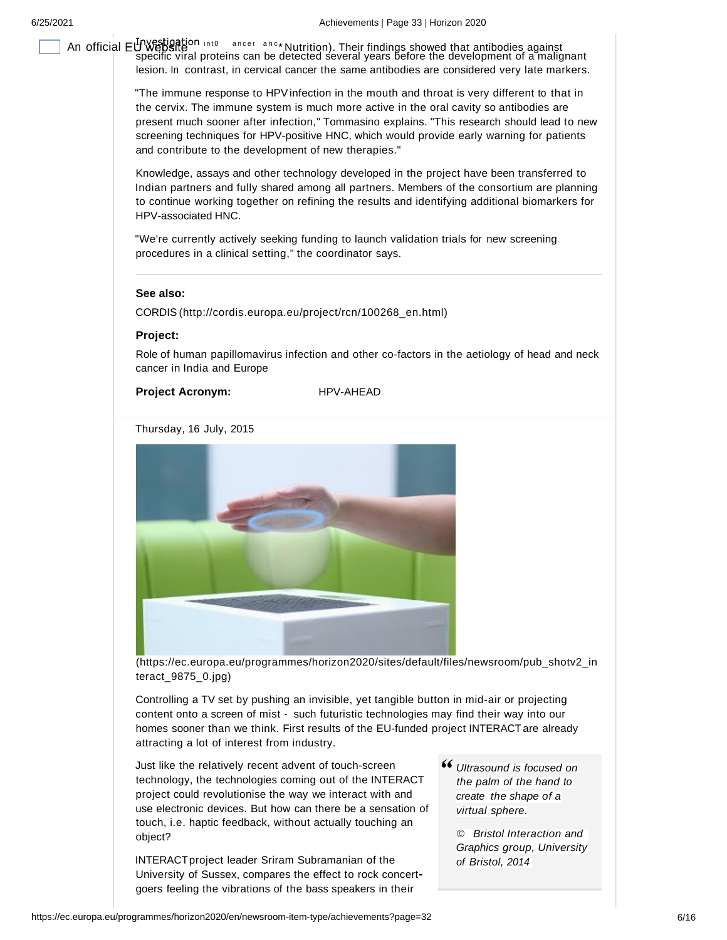An official  $EUWESEEOR$  antibodies against ancer anc \* Nutrition). Their findings showed that antibodies against<br>specific viral proteins can be detected several years before the development of a malignant lesion. In contrast, in cervical cancer the same antibodies are considered very late markers.

> "The immune response to HPVinfection in the mouth and throat is very different to that in the cervix. The immune system is much more active in the oral cavity so antibodies are present much sooner after infection," Tommasino explains. "This research should lead to new screening techniques for HPV-positive HNC, which would provide early warning for patients and contribute to the development of new therapies."

> Knowledge, assays and other technology developed in the project have been transferred to Indian partners and fully shared among all partners. Members of the consortium are planning to continue working together on refining the results and identifying additional biomarkers for HPV-associated HNC.

"We're currently actively seeking funding to launch validation trials for new screening procedures in a clinical setting," the coordinator says.

# **See also:**

CORDIS (http://cordis.europa.eu/project/rcn/100268\_en.html)

**Project:**

Role of human papillomavirus infection and other co-factors in the aetiology of head and neck cancer in India and Europe

# **Project Acronym:** HPV-AHEAD

Thursday, 16 July, 2015



(https://ec.europa.eu/programmes/horizon2020/sites/default/files/newsroom/pub\_shotv2\_in teract\_9875\_0.jpg)

Controlling a TV set by pushing an invisible, yet tangible button in mid-air or projecting content onto a screen of mist - such futuristic technologies may find their way into our homes sooner than we think. First results of the EU-funded project INTERACTare already attracting a lot of interest from industry.

Just like the relatively recent advent of touch-screen technology, the technologies coming out of the INTERACT project could revolutionise the way we interact with and use electronic devices. But how can there be a sensation of touch, i.e. haptic feedback, without actually touching an object?

INTERACTproject leader Sriram Subramanian of the University of Sussex, compares the effect to rock concert goers feeling the vibrations of the bass speakers in their

*Ultrasound is focused on the palm of the hand to create the shape of a virtual sphere.*

> *© Bristol Interaction and Graphics group, University of Bristol, 2014*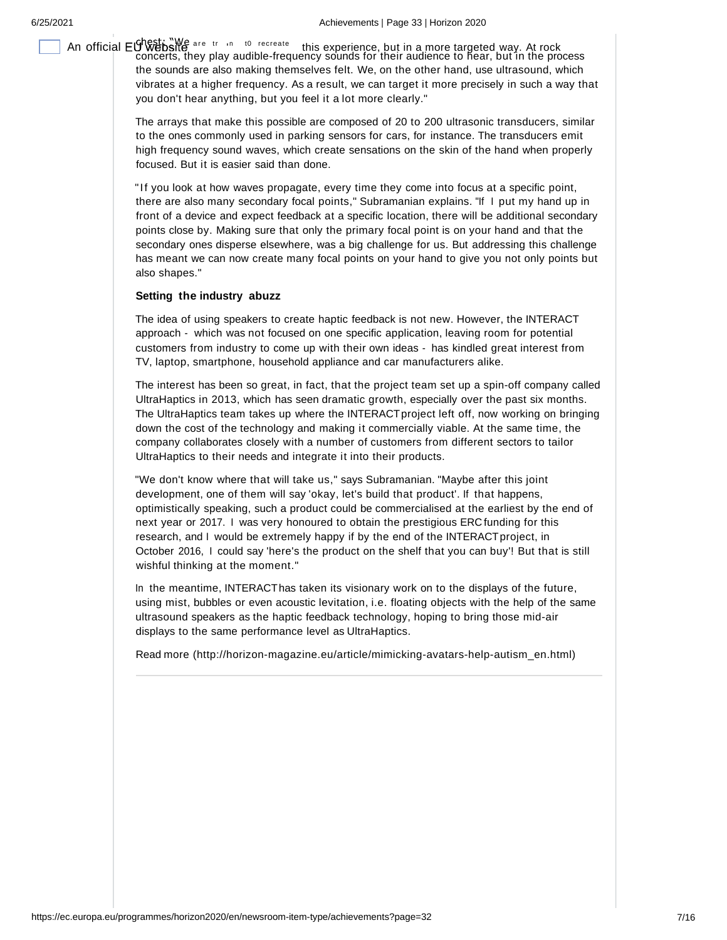An official EU Website are truing to recreate this experience, but in a more targeted way. At rock<br>concerts, they play audible-frequency sounds for their audience to hear, but in the process the sounds are also making themselves felt. We, on the other hand, use ultrasound, which vibrates at a higher frequency. As a result, we can target it more precisely in such a way that you don't hear anything, but you feel it a lot more clearly."

> The arrays that make this possible are composed of 20 to 200 ultrasonic transducers, similar to the ones commonly used in parking sensors for cars, for instance. The transducers emit high frequency sound waves, which create sensations on the skin of the hand when properly focused. But it is easier said than done.

> "If you look at how waves propagate, every time they come into focus at a specific point, there are also many secondary focal points," Subramanian explains. "If I put my hand up in front of a device and expect feedback at a specific location, there will be additional secondary points close by. Making sure that only the primary focal point is on your hand and that the secondary ones disperse elsewhere, was a big challenge for us. But addressing this challenge has meant we can now create many focal points on your hand to give you not only points but also shapes."

### **Setting the industry abuzz**

The idea of using speakers to create haptic feedback is not new. However, the INTERACT approach - which was not focused on one specific application, leaving room for potential customers from industry to come up with their own ideas - has kindled great interest from TV, laptop, smartphone, household appliance and car manufacturers alike.

The interest has been so great, in fact, that the project team set up a spin-off company called UltraHaptics in 2013, which has seen dramatic growth, especially over the past six months. The UltraHaptics team takes up where the INTERACTproject left off, now working on bringing down the cost of the technology and making it commercially viable. At the same time, the company collaborates closely with a number of customers from different sectors to tailor UltraHaptics to their needs and integrate it into their products.

"We don't know where that will take us," says Subramanian. "Maybe after this joint development, one of them will say 'okay, let's build that product'. If that happens, optimistically speaking, such a product could be commercialised at the earliest by the end of next year or 2017. I was very honoured to obtain the prestigious ERC funding for this research, and I would be extremely happy if by the end of the INTERACTproject, in October 2016, I could say 'here's the product on the shelf that you can buy'! But that is still wishful thinking at the moment."

In the meantime, INTERACThas taken its visionary work on to the displays of the future, using mist, bubbles or even acoustic levitation, i.e. floating objects with the help of the same ultrasound speakers as the haptic feedback technology, hoping to bring those mid-air displays to the same performance level as UltraHaptics.

Read more (http://horizon-magazine.eu/article/mimicking-avatars-help-autism\_en.html)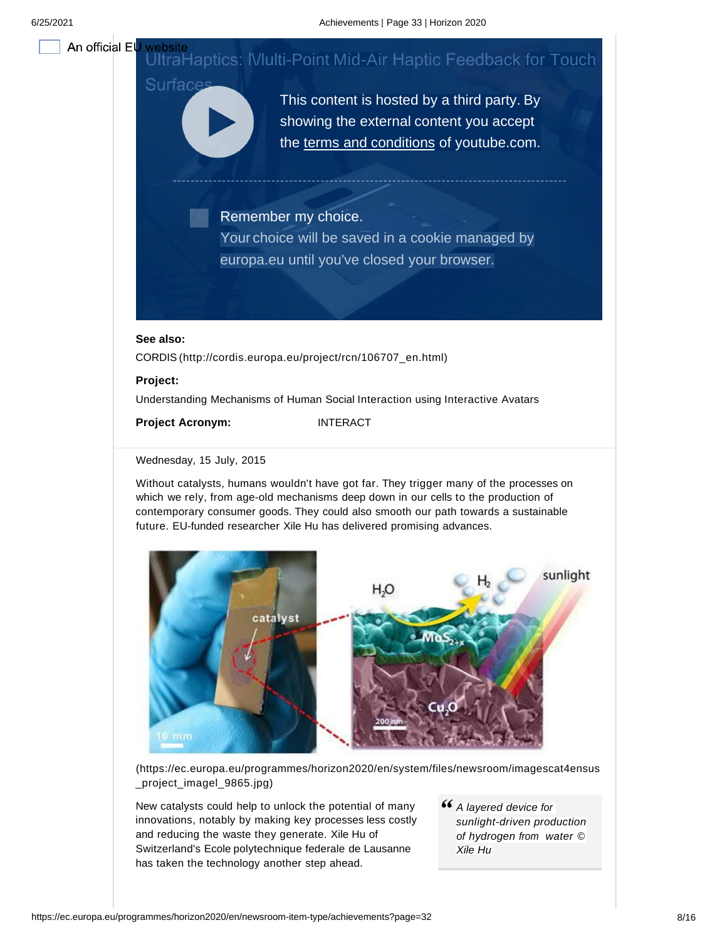An official El

### 6/25/2021 Achievements | Page 33 | Horizon 2020

# UltraHaptics: IVIulti-Point Mid-Air Haptic Feedback for Touch

This content is hosted by a third party. By showing the external content you accept the terms and conditions of youtube.com.

Remember my choice.

Your choice will be saved in a cookie managed by europa.eu until you've closed your browser.

# **See also:**

Surface

CORDIS (http://cordis.europa.eu/project/rcn/106707\_en.html)

### **Project:**

Understanding Mechanisms of Human Social Interaction using Interactive Avatars

**Project Acronym:** INTERACT

# Wednesday, 15 July, 2015

Without catalysts, humans wouldn't have got far. They trigger many of the processes on which we rely, from age-old mechanisms deep down in our cells to the production of contemporary consumer goods. They could also smooth our path towards a sustainable future. EU-funded researcher Xile Hu has delivered promising advances.



(https://ec.europa.eu/programmes/horizon2020/en/system/files/newsroom/imagescat4ensus \_project\_imagel\_9865.jpg)

New catalysts could help to unlock the potential of many innovations, notably by making key processes less costly and reducing the waste they generate. Xile Hu of Switzerland's Ecole polytechnique federale de Lausanne has taken the technology another step ahead.

*A layered device for sunlight-driven production of hydrogen from water © Xile Hu*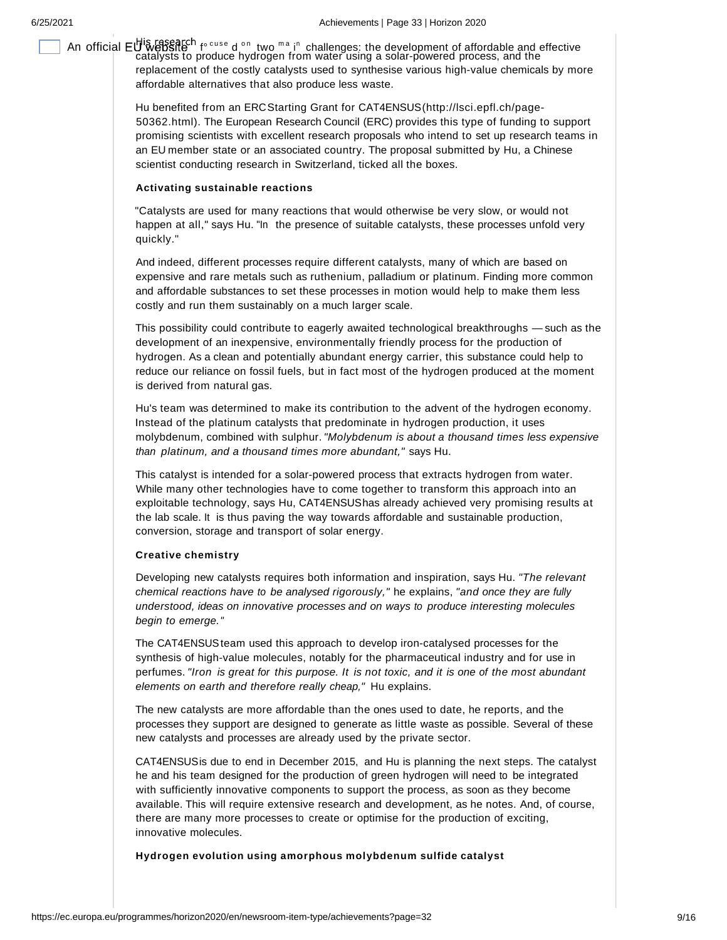An official EU Website<sup>ch</sup> f°<sup>cuse</sup> d <sup>on</sup> two <sup>ma</sup> i<sup>n</sup> challenges: the development of affordable and effective<br>catalysts to produce hydrogen from water using a solar-powered process, and the replacement of the costly catalysts used to synthesise various high-value chemicals by more affordable alternatives that also produce less waste.

> Hu benefited from an ERCStarting Grant for CAT4ENSUS(http://lsci.epfl.ch/page-50362.html). The European Research Council (ERC) provides this type of funding to support promising scientists with excellent research proposals who intend to set up research teams in an EU member state or an associated country. The proposal submitted by Hu, a Chinese scientist conducting research in Switzerland, ticked all the boxes.

### **Activating sustainable reactions**

"Catalysts are used for many reactions that would otherwise be very slow, or would not happen at all," says Hu. "In the presence of suitable catalysts, these processes unfold very quickly."

And indeed, different processes require different catalysts, many of which are based on expensive and rare metals such as ruthenium, palladium or platinum. Finding more common and affordable substances to set these processes in motion would help to make them less costly and run them sustainably on a much larger scale.

This possibility could contribute to eagerly awaited technological breakthroughs — such as the development of an inexpensive, environmentally friendly process for the production of hydrogen. As a clean and potentially abundant energy carrier, this substance could help to reduce our reliance on fossil fuels, but in fact most of the hydrogen produced at the moment is derived from natural gas.

Hu's team was determined to make its contribution to the advent of the hydrogen economy. Instead of the platinum catalysts that predominate in hydrogen production, it uses molybdenum, combined with sulphur. *"Molybdenum is about a thousand times less expensive than platinum, and a thousand times more abundant,"* says Hu.

This catalyst is intended for a solar-powered process that extracts hydrogen from water. While many other technologies have to come together to transform this approach into an exploitable technology, says Hu, CAT4ENSUShas already achieved very promising results at the lab scale. It is thus paving the way towards affordable and sustainable production, conversion, storage and transport of solar energy.

# **Creative chemistry**

Developing new catalysts requires both information and inspiration, says Hu. *"The relevant chemical reactions have to be analysed rigorously,"* he explains, *"and once they are fully understood, ideas on innovative processes and on ways to produce interesting molecules begin to emerge. "*

The CAT4ENSUSteam used this approach to develop iron-catalysed processes for the synthesis of high-value molecules, notably for the pharmaceutical industry and for use in perfumes. *"Iron is great for this purpose. It is not toxic, and it is one of the most abundant elements on earth and therefore really cheap,"* Hu explains.

The new catalysts are more affordable than the ones used to date, he reports, and the processes they support are designed to generate as little waste as possible. Several of these new catalysts and processes are already used by the private sector.

CAT4ENSUSis due to end in December 2015, and Hu is planning the next steps. The catalyst he and his team designed for the production of green hydrogen will need to be integrated with sufficiently innovative components to support the process, as soon as they become available. This will require extensive research and development, as he notes. And, of course, there are many more processes to create or optimise for the production of exciting, innovative molecules.

**Hydrogen evolution using amorphous molybdenum sulfide catalyst**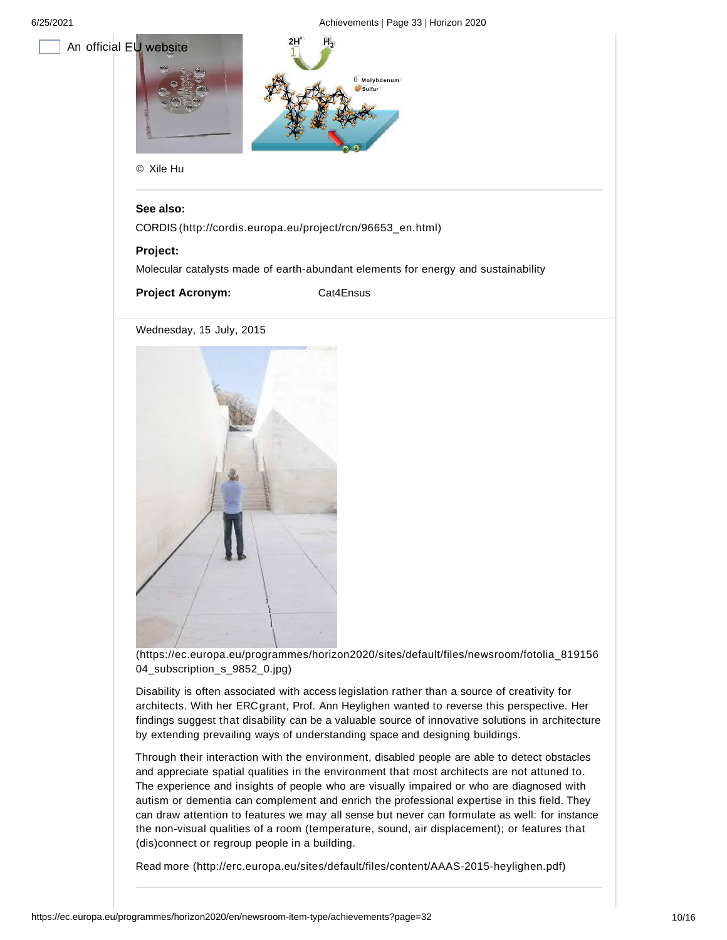

# **See also:**

CORDIS (http://cordis.europa.eu/project/rcn/96653\_en.html)

## **Project:**

Molecular catalysts made of earth-abundant elements for energy and sustainability

**Project Acronym:** Cat4Ensus

Wednesday, 15 July, 2015



(https://ec.europa.eu/programmes/horizon2020/sites/default/files/newsroom/fotolia\_819156 04\_subscription\_s\_9852\_0.jpg)

Disability is often associated with access legislation rather than a source of creativity for architects. With her ERCgrant, Prof. Ann Heylighen wanted to reverse this perspective. Her findings suggest that disability can be a valuable source of innovative solutions in architecture by extending prevailing ways of understanding space and designing buildings.

Through their interaction with the environment, disabled people are able to detect obstacles and appreciate spatial qualities in the environment that most architects are not attuned to. The experience and insights of people who are visually impaired or who are diagnosed with autism or dementia can complement and enrich the professional expertise in this field. They can draw attention to features we may all sense but never can formulate as well: for instance the non-visual qualities of a room (temperature, sound, air displacement); or features that (dis)connect or regroup people in a building.

Read more (http://erc.europa.eu/sites/default/files/content/AAAS-2015-heylighen.pdf)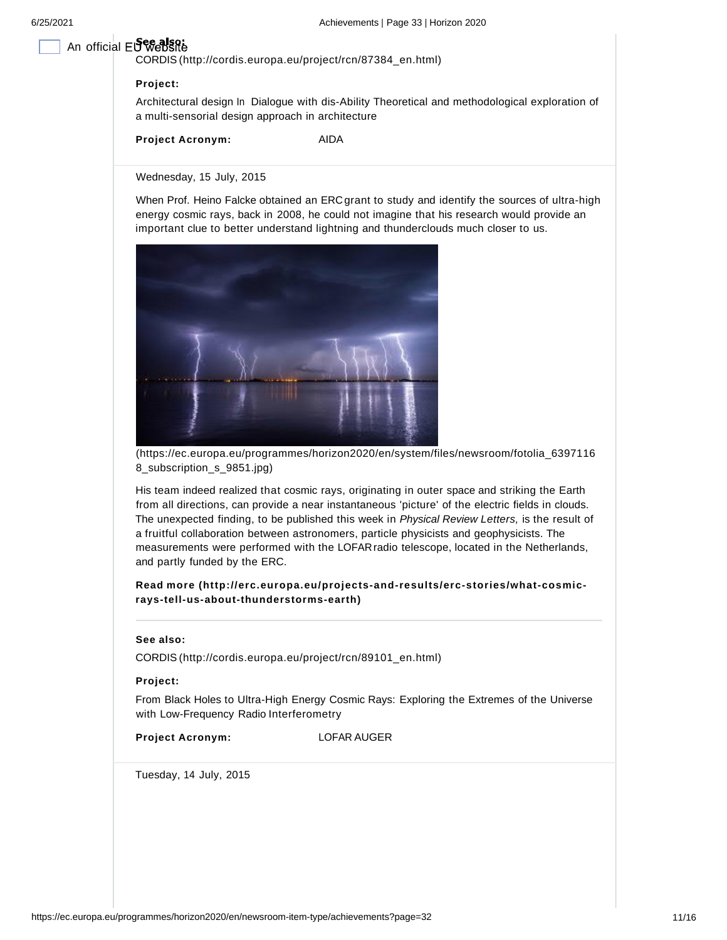# An official EU website

CORDIS (http://cordis.europa.eu/project/rcn/87384\_en.html)

# **Project:**

Architectural design In Dialogue with dis-Ability Theoretical and methodological exploration of a multi-sensorial design approach in architecture

**Project Acronym:** AIDA

Wednesday, 15 July, 2015

When Prof. Heino Falcke obtained an ERC grant to study and identify the sources of ultra-high energy cosmic rays, back in 2008, he could not imagine that his research would provide an important clue to better understand lightning and thunderclouds much closer to us.



(https://ec.europa.eu/programmes/horizon2020/en/system/files/newsroom/fotolia\_6397116 8\_subscription\_s\_9851.jpg)

His team indeed realized that cosmic rays, originating in outer space and striking the Earth from all directions, can provide a near instantaneous 'picture' of the electric fields in clouds. The unexpected finding, to be published this week in *Physical Review Letters,* is the result of a fruitful collaboration between astronomers, particle physicists and geophysicists. The measurements were performed with the LOFARradio telescope, located in the Netherlands, and partly funded by the ERC.

# **Read more (http://erc.europa.eu/projects-and-results/erc-stories/what-cosmicrays-tell-us-about-thunderstorms-earth)**

### **See also:**

CORDIS (http://cordis.europa.eu/project/rcn/89101\_en.html)

### **Project:**

From Black Holes to Ultra-High Energy Cosmic Rays: Exploring the Extremes of the Universe with Low-Frequency Radio Interferometry

| <b>Project Acronym:</b> |  |  |  |  |
|-------------------------|--|--|--|--|
|-------------------------|--|--|--|--|

**LOFAR AUGER** 

Tuesday, 14 July, 2015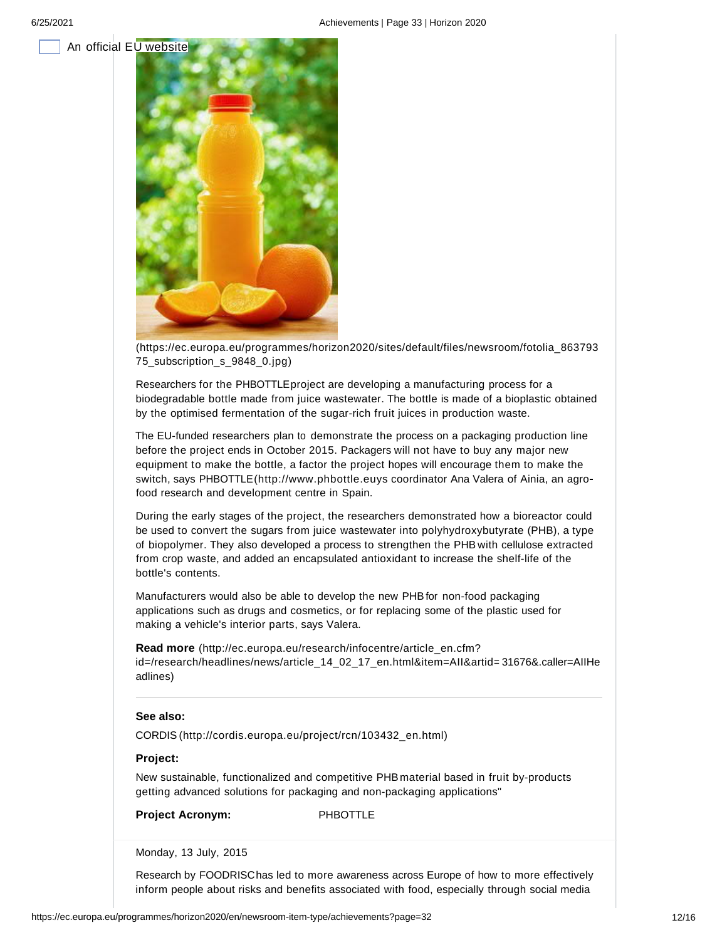



(https://ec.europa.eu/programmes/horizon2020/sites/default/files/newsroom/fotolia\_863793 75\_subscription\_s\_9848\_0.jpg)

Researchers for the PHBOTTLEproject are developing a manufacturing process for a biodegradable bottle made from juice wastewater. The bottle is made of a bioplastic obtained by the optimised fermentation of the sugar-rich fruit juices in production waste.

The EU-funded researchers plan to demonstrate the process on a packaging production line before the project ends in October 2015. Packagers will not have to buy any major new equipment to make the bottle, a factor the project hopes will encourage them to make the switch, says PHBOTTLE(http://www.phbottle.euys coordinator Ana Valera of Ainia, an agro food research and development centre in Spain.

During the early stages of the project, the researchers demonstrated how a bioreactor could be used to convert the sugars from juice wastewater into polyhydroxybutyrate (PHB), a type of biopolymer. They also developed a process to strengthen the PHB with cellulose extracted from crop waste, and added an encapsulated antioxidant to increase the shelf-life of the bottle's contents.

Manufacturers would also be able to develop the new PHBfor non-food packaging applications such as drugs and cosmetics, or for replacing some of the plastic used for making a vehicle's interior parts, says Valera.

**Read more** (http://ec.europa.eu/research/infocentre/article\_en.cfm? id=/research/headlines/news/article\_14\_02\_17\_en.html&item=AII&artid= 31676&.caller=AIIHe adlines)

# **See also:**

CORDIS (http://cordis.europa.eu/project/rcn/103432\_en.html)

## **Project:**

New sustainable, functionalized and competitive PHBmaterial based in fruit by-products getting advanced solutions for packaging and non-packaging applications"

**Project Acronym:** PHBOTTLE

Monday, 13 July, 2015

Research by FOODRISChas led to more awareness across Europe of how to more effectively inform people about risks and benefits associated with food, especially through social media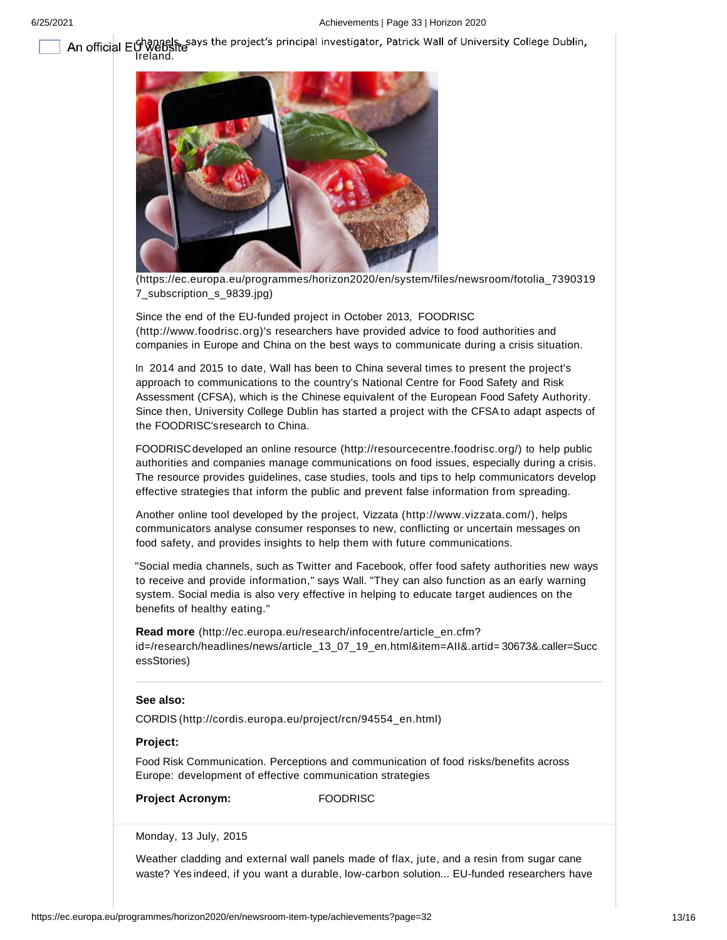An official El<sup>channels</sup>, says the project's principal investigator, Patrick Wall of University College Dublin,<br>Ireland. [Ireland]



(https://ec.europa.eu/programmes/horizon2020/en/system/files/newsroom/fotolia\_7390319 7\_subscription\_s\_9839.jpg)

Since the end of the EU-funded project in October 2013, FOODRISC (http://www.foodrisc.org)'s researchers have provided advice to food authorities and companies in Europe and China on the best ways to communicate during a crisis situation.

In 2014 and 2015 to date, Wall has been to China several times to present the project's approach to communications to the country's National Centre for Food Safety and Risk Assessment (CFSA), which is the Chinese equivalent of the European Food Safety Authority. Since then, University College Dublin has started a project with the CFSA to adapt aspects of the FOODRISC'sresearch to China.

FOODRISCdeveloped an online resource (http://resourcecentre.foodrisc.org/) to help public authorities and companies manage communications on food issues, especially during a crisis. The resource provides guidelines, case studies, tools and tips to help communicators develop effective strategies that inform the public and prevent false information from spreading.

Another online tool developed by the project, Vizzata (http://www.vizzata.com/), helps communicators analyse consumer responses to new, conflicting or uncertain messages on food safety, and provides insights to help them with future communications.

"Social media channels, such as Twitter and Facebook, offer food safety authorities new ways to receive and provide information," says Wall. "They can also function as an early warning system. Social media is also very effective in helping to educate target audiences on the benefits of healthy eating."

**Read more** (http://ec.europa.eu/research/infocentre/article\_en.cfm? id=/research/headlines/news/article\_13\_07\_19\_en.html&item=AII&.artid= 30673&.caller=Succ essStories)

# **See also:**

CORDIS (http://cordis.europa.eu/project/rcn/94554\_en.html)

### **Project:**

Food Risk Communication. Perceptions and communication of food risks/benefits across Europe: development of effective communication strategies

**Project Acronym:** FOODRISC

Monday, 13 July, 2015

Weather cladding and external wall panels made of flax, jute, and a resin from sugar cane waste? Yes indeed, if you want a durable, low-carbon solution... EU-funded researchers have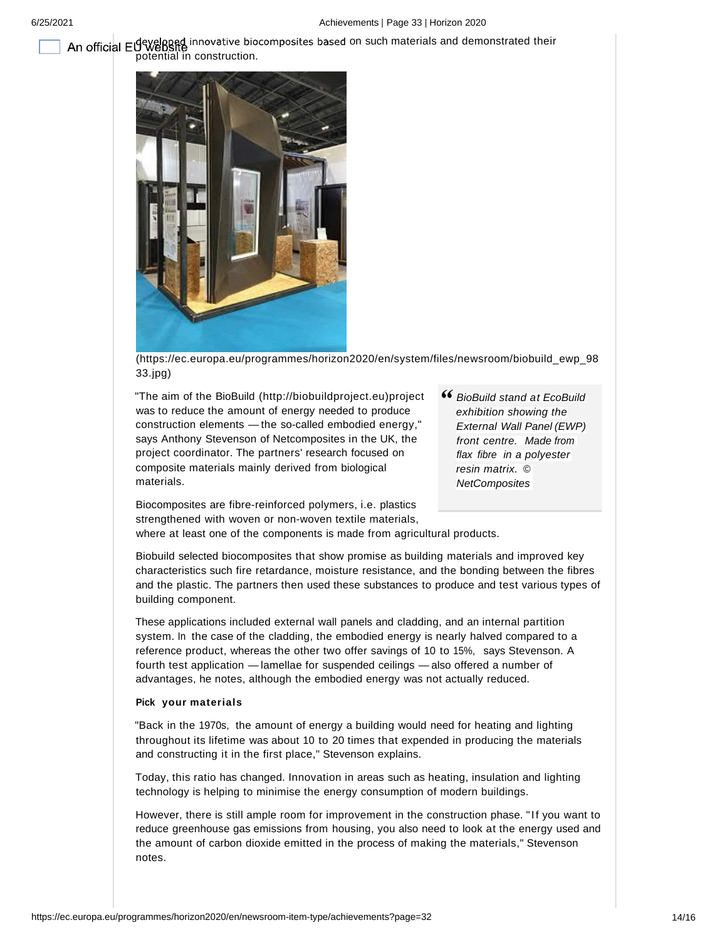An official EU website innovative biocomposites based on such materials and demonstrated their potential in construction.



(https://ec.europa.eu/programmes/horizon2020/en/system/files/newsroom/biobuild\_ewp\_98 33.jpg)

"The aim of the BioBuild (http://biobuildproject.eu)project was to reduce the amount of energy needed to produce construction elements — the so-called embodied energy," says Anthony Stevenson of Netcomposites in the UK, the project coordinator. The partners' research focused on composite materials mainly derived from biological materials.

*BioBuild stand at EcoBuild exhibition showing the External Wall Panel (EWP) front centre. Made from flax fibre in a polyester resin matrix. © NetComposites*

Biocomposites are fibre-reinforced polymers, i.e. plastics strengthened with woven or non-woven textile materials,

where at least one of the components is made from agricultural products.

Biobuild selected biocomposites that show promise as building materials and improved key characteristics such fire retardance, moisture resistance, and the bonding between the fibres and the plastic. The partners then used these substances to produce and test various types of building component.

These applications included external wall panels and cladding, and an internal partition system. In the case of the cladding, the embodied energy is nearly halved compared to a reference product, whereas the other two offer savings of 10 to 15%, says Stevenson. A fourth test application — lamellae for suspended ceilings — also offered a number of advantages, he notes, although the embodied energy was not actually reduced.

### **Pick your materials**

"Back in the 1970s, the amount of energy a building would need for heating and lighting throughout its lifetime was about 10 to 20 times that expended in producing the materials and constructing it in the first place," Stevenson explains.

Today, this ratio has changed. Innovation in areas such as heating, insulation and lighting technology is helping to minimise the energy consumption of modern buildings.

However, there is still ample room for improvement in the construction phase. "If you want to reduce greenhouse gas emissions from housing, you also need to look at the energy used and the amount of carbon dioxide emitted in the process of making the materials," Stevenson notes.